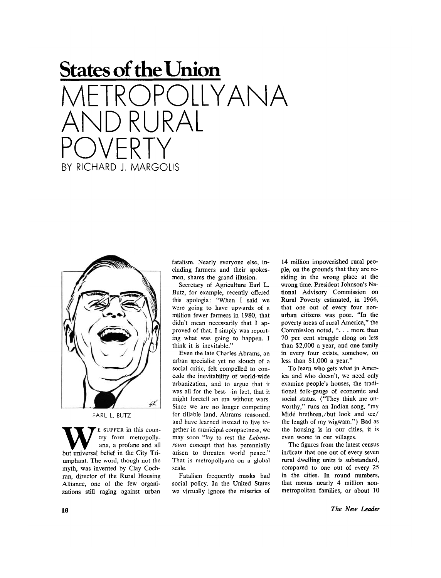## **States of the Union**  IIYANA AND RURAL POVERTY BY RICHARD J. MARGOLIS



EARL L. BUTZ

**W** E SUFFER in this counting the SUFFER in this countinuous, a profane and all but universal belief in the City Tri-**E SUFFE <sup>R</sup>** in this country from metropollyana, a profane and all umphant. The word, though not the myth, was invented by Clay Cochran, director of the Rural Housing Alliance, one of the few organizations still raging against urban

fatalism. Nearly everyone else, including farmers and their spokesmen, shares the grand illusion.

Secretary of Agriculture Earl L. Butz, for example, recently offered this apologia: "When I said we were going to have upwards of a million fewer farmers in 1980, that didn't mean necessarily that I approved of that. I simply was reporting what was going to happen. I think it is inevitable."

Even the late Charles Abrams, an urban specialist yet no slouch of a social critic, felt compelled to concede the inevitability of world-wide urbanization, and to argue that it was all for the best—in fact, that it might foretell an era without wars. Since we are no longer competing for tillable land. Abrams reasoned, and have learned instead to live together in municipal compactness, we may soon "lay to rest the *Lebensraum* concept that has perennially arisen to threaten world peace." That is metropollyana on a global scale.

Fatalism frequently masks bad social policy. In the United States we virtually ignore the miseries of

14 million impoverished rural people, on the grounds that they are residing in the wrong place at the wrong time. President Johnson's National Advisory Commission on Rural Poverty estimated, in 1966, that one out of every four nonurban citizens was poor. "In the poverty areas of rural America," the Commission noted, ". . . more than 70 per cent struggle along on less than \$2,000 a year, and one family in every four exists, somehow, on less than \$1,000 a year."

To learn who gets what in America and who doesn't, we need only examine people's houses, the traditional folk-gauge of economic and social status. ("They think me unworthy," runs an Indian song, "my Mide brethren,/but look and see/ the length of my wigwam.") Bad as the housing is in our cities, it is even worse in our villages.

The figures from the latest census indicate that one out of every seven rural dwelling units is substandard, compared to one out of every 25 in the cities. In round numbers, that means nearly 4 million nonmetropolitan families, or about 10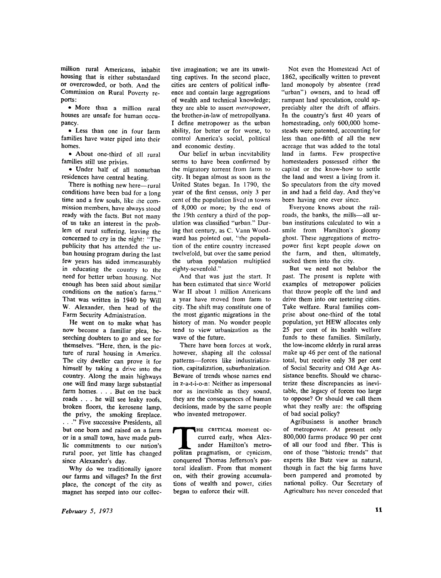million rural Americans, inhabit housing that is either substandard or overcrowded, or both. And the Commission on Rural Poverty reports:

• More than a million rural houses are unsafe for human occupancy.

• Less than one in four farm families have water piped into their homes.

• About one-third of all rural families still use privies.

• Under half of all nonurban residences have central heating.

There is nothing new here—rural conditions have been bad for a long time and a few souls, like *the* commission members, have always stood ready with the facts. But not many of us take an interest in the problem of rural suffering, leaving the concerned to cry in the night: "The publicity that has attended the urban housing program during the last few years has aided immeasurably in educating the country to the need for better urban housing. Not enough has been said about similar conditions on the nation's farms." That was written in 1940 by Will W. Alexander, then head of the Farm Security Administration.

He went on to make what has now become a familiar plea, beseeching doubters to go and see for themselves. "Here, then, is the picture of rural housing in America. The city dweller can prove it for himself by taking a drive into the country. Along the main highways one will find many large substantial farm homes. . . . But on the back roads .. . he will see leaky roofs, broken floors, the kerosene lamp, the privy, the smoking fireplace. ..." Five successive Presidents, all but one born and raised on a farm or in a small town, have made public commitments to our nation's rural poor, yet little has changed since Alexander's day.

Why do we traditionally ignore our farms and villages? In the first place, the concept of the city as magnet has seeped into our collective imagination; we are its unwitting captives. In the second place, cities are centers of political influence and contain large aggregations of wealth and technical knowledge; they are able to assert *metropower,*  the brother-in-law of metropollyana. I define metropower as the urban ability, for better or for worse, to control America's social, political and economic destiny.

Our belief in urban inevitability seems to have been confirmed by the migratory torrent from farm to city. It began almost as soon as the United States began. In 1790, the year of the first census, only 3 per cent of the population lived in towns of 8,000 or more; by the end of the 19th century a third of the population was classified "urban." During that century, as C. Vann Woodward has pointed out, "the population of the entire country increased twelvefold, but over the same period the urban population multiplied eighty-sevenfold."

And that was just the start. It has been estimated that since World War II about 1 million Americans a year have moved from farm to city. The shift may constitute one of the most gigantic migrations in the history of man. No wonder people tend to view urbanization as the wave of the future.

There have been forces at work, however, shaping all the colossal patterns—forces like industrialization, capitalization, suburbanization. Beware of trends whose names end in z-a-t-i-o-n: Neither as impersonal nor as inevitable as they sound, they are the consequences of human decisions, made by the same people who invented metropower.

THE CRITICAL moment oc-<br>
curred early, when Alex-<br>
ander Hamilton's metro-<br>
politan pragmatism, or cynicism, HE CRITICAL moment occurred early, when Alexander Hamilton's metroconquered Thomas Jefferson's pastoral idealism. From that moment on, with their growing accumulations of wealth and power, cities began to enforce their will.

Not even the Homestead Act of 1862, specifically written to prevent land monopoly by absentee (read "urban") owners, and to head off rampant land speculation, could appreciably alter the drift of affairs. In the country's first 40 years of homesteading, only 600,000 homesteads were patented, accounting for less than one-fifth of all the new acreage that was added to the total land in farms. Few prospective homesteaders possessed either the capital or the know-how to settle the land and wrest a living from it. So speculators from the city moved in and had a field day. And they've been having one ever since.

Everyone knows about the railroads, the banks, the mills—all urban institutions calculated to win a smile from Hamilton's gloomy ghost. These aggregations of metropower first kept people *down* on the farm, and then, ultimately, sucked them into the city.

But we need not belabor the past. The present is replete with examples of metropower policies that throw people off the land and drive them into our teetering cities. Take welfare. Rural families comprise about one-third of the total population, yet HEW allocates only 25 per cent of its health welfare funds to these families. Similarly, the low-income elderly in rural areas make up 46 per cent of the national total, but receive only 38 per cent of Social Security and Old Age Assistance benefits. Should we characterize these discrepancies as inevitable, the legacy of forces too large to oppose? Or should we call them what they really are: the offspring of bad social policy?

Agribusiness is another branch of metropower. At present only 800,000 farms produce 90 per cent of all our food and fiber. This is one of those "historic trends" that experts like Butz view as natural, though in fact the big farms have been pampered and promoted by national policy. Our Secretary of Agriculture has never conceded that